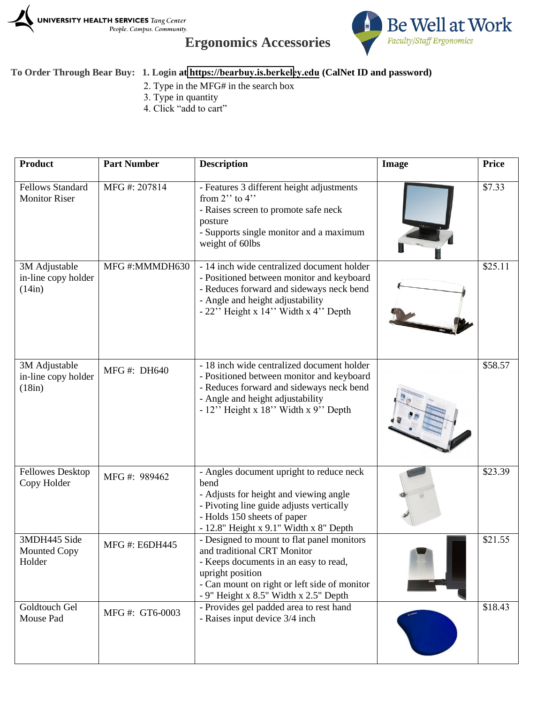

## **Ergonomics Accessories**



## **To Order Through Bear Buy: 1. Login at https://[bearbuy.is.berkele](bearbuy.is.berkeley.edu)y.edu (CalNet ID and password)**

- 2. Type in the MFG# in the search box
- 3. Type in quantity
- 4. Click "add to cart"

| Product                                         | <b>Part Number</b>    | <b>Description</b>                                                                                                                                                                                                              | <b>Image</b> | <b>Price</b> |
|-------------------------------------------------|-----------------------|---------------------------------------------------------------------------------------------------------------------------------------------------------------------------------------------------------------------------------|--------------|--------------|
| <b>Fellows Standard</b><br><b>Monitor Riser</b> | MFG#: 207814          | - Features 3 different height adjustments<br>from $2$ " to $4$ "<br>- Raises screen to promote safe neck<br>posture<br>- Supports single monitor and a maximum<br>weight of 60lbs                                               |              | \$7.33       |
| 3M Adjustable<br>in-line copy holder<br>(14in)  | MFG#:MMMDH630         | - 14 inch wide centralized document holder<br>- Positioned between monitor and keyboard<br>- Reduces forward and sideways neck bend<br>- Angle and height adjustability<br>$-22$ " Height x 14" Width x 4" Depth                |              | \$25.11      |
| 3M Adjustable<br>in-line copy holder<br>(18in)  | MFG #: DH640          | - 18 inch wide centralized document holder<br>- Positioned between monitor and keyboard<br>- Reduces forward and sideways neck bend<br>- Angle and height adjustability<br>- 12" Height x 18" Width x 9" Depth                  |              | \$58.57      |
| <b>Fellowes Desktop</b><br>Copy Holder          | MFG #: 989462         | - Angles document upright to reduce neck<br>bend<br>- Adjusts for height and viewing angle<br>- Pivoting line guide adjusts vertically<br>- Holds 150 sheets of paper<br>- 12.8" Height x 9.1" Width x 8" Depth                 |              | \$23.39      |
| 3MDH445 Side<br>Mounted Copy<br>Holder          | <b>MFG #: E6DH445</b> | - Designed to mount to flat panel monitors<br>and traditional CRT Monitor<br>- Keeps documents in an easy to read,<br>upright position<br>- Can mount on right or left side of monitor<br>- 9" Height x 8.5" Width x 2.5" Depth |              | \$21.55      |
| Goldtouch Gel<br>Mouse Pad                      | MFG #: GT6-0003       | - Provides gel padded area to rest hand<br>- Raises input device 3/4 inch                                                                                                                                                       |              | \$18.43      |